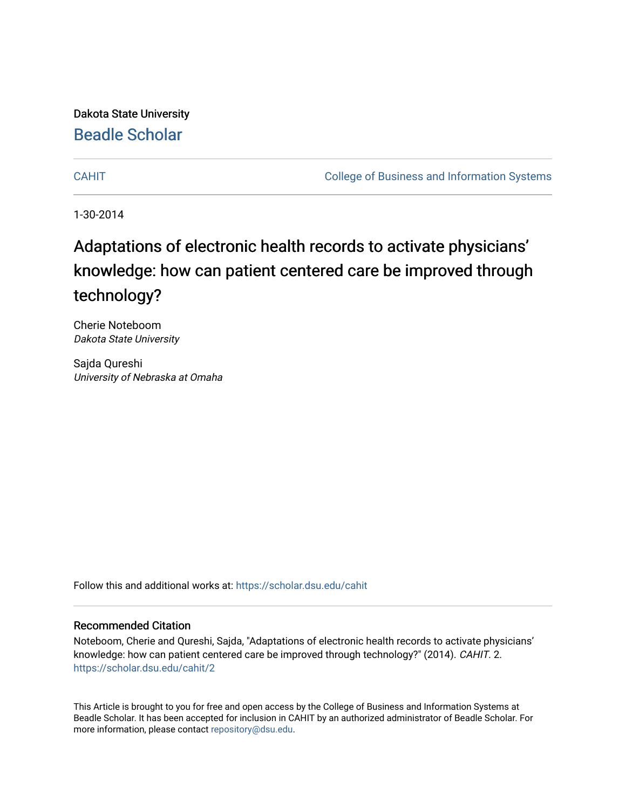Dakota State University [Beadle Scholar](https://scholar.dsu.edu/)

[CAHIT](https://scholar.dsu.edu/cahit) [College of Business and Information Systems](https://scholar.dsu.edu/biscollege) 

1-30-2014

## Adaptations of electronic health records to activate physicians' knowledge: how can patient centered care be improved through technology?

Cherie Noteboom Dakota State University

Sajda Qureshi University of Nebraska at Omaha

Follow this and additional works at: [https://scholar.dsu.edu/cahit](https://scholar.dsu.edu/cahit?utm_source=scholar.dsu.edu%2Fcahit%2F2&utm_medium=PDF&utm_campaign=PDFCoverPages) 

#### Recommended Citation

Noteboom, Cherie and Qureshi, Sajda, "Adaptations of electronic health records to activate physicians' knowledge: how can patient centered care be improved through technology?" (2014). CAHIT. 2. [https://scholar.dsu.edu/cahit/2](https://scholar.dsu.edu/cahit/2?utm_source=scholar.dsu.edu%2Fcahit%2F2&utm_medium=PDF&utm_campaign=PDFCoverPages)

This Article is brought to you for free and open access by the College of Business and Information Systems at Beadle Scholar. It has been accepted for inclusion in CAHIT by an authorized administrator of Beadle Scholar. For more information, please contact [repository@dsu.edu.](mailto:repository@dsu.edu)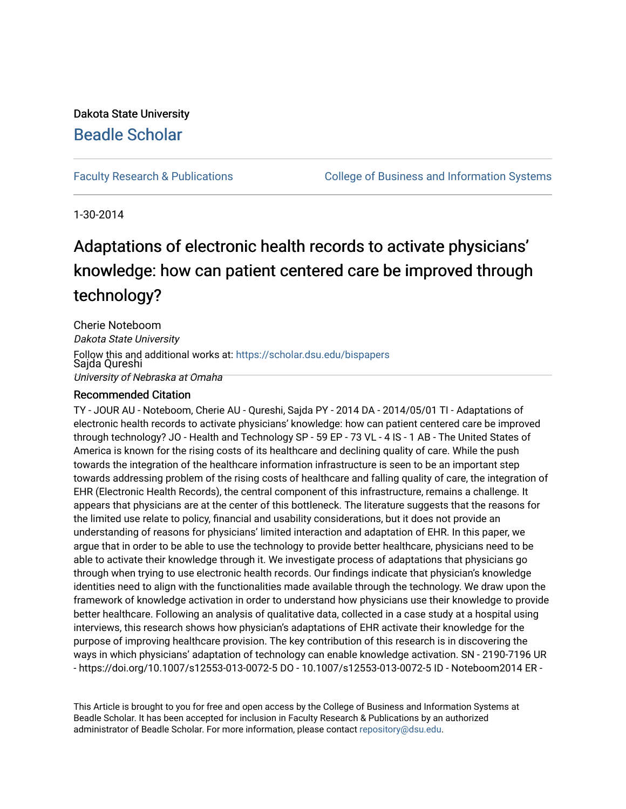### Dakota State University [Beadle Scholar](https://scholar.dsu.edu/)

[Faculty Research & Publications](https://scholar.dsu.edu/bispapers) **College of Business and Information Systems** 

1-30-2014

# Adaptations of electronic health records to activate physicians' knowledge: how can patient centered care be improved through technology?

Cherie Noteboom Dakota State University Sajda Qureshi University of Nebraska at Omaha Follow this and additional works at: [https://scholar.dsu.edu/bispapers](https://scholar.dsu.edu/bispapers?utm_source=scholar.dsu.edu%2Fbispapers%2F45&utm_medium=PDF&utm_campaign=PDFCoverPages)

#### Recommended Citation

TY - JOUR AU - Noteboom, Cherie AU - Qureshi, Sajda PY - 2014 DA - 2014/05/01 TI - Adaptations of electronic health records to activate physicians' knowledge: how can patient centered care be improved through technology? JO - Health and Technology SP - 59 EP - 73 VL - 4 IS - 1 AB - The United States of America is known for the rising costs of its healthcare and declining quality of care. While the push towards the integration of the healthcare information infrastructure is seen to be an important step towards addressing problem of the rising costs of healthcare and falling quality of care, the integration of EHR (Electronic Health Records), the central component of this infrastructure, remains a challenge. It appears that physicians are at the center of this bottleneck. The literature suggests that the reasons for the limited use relate to policy, financial and usability considerations, but it does not provide an understanding of reasons for physicians' limited interaction and adaptation of EHR. In this paper, we argue that in order to be able to use the technology to provide better healthcare, physicians need to be able to activate their knowledge through it. We investigate process of adaptations that physicians go through when trying to use electronic health records. Our findings indicate that physician's knowledge identities need to align with the functionalities made available through the technology. We draw upon the framework of knowledge activation in order to understand how physicians use their knowledge to provide better healthcare. Following an analysis of qualitative data, collected in a case study at a hospital using interviews, this research shows how physician's adaptations of EHR activate their knowledge for the purpose of improving healthcare provision. The key contribution of this research is in discovering the ways in which physicians' adaptation of technology can enable knowledge activation. SN - 2190-7196 UR - https://doi.org/10.1007/s12553-013-0072-5 DO - 10.1007/s12553-013-0072-5 ID - Noteboom2014 ER -

This Article is brought to you for free and open access by the College of Business and Information Systems at Beadle Scholar. It has been accepted for inclusion in Faculty Research & Publications by an authorized administrator of Beadle Scholar. For more information, please contact [repository@dsu.edu.](mailto:repository@dsu.edu)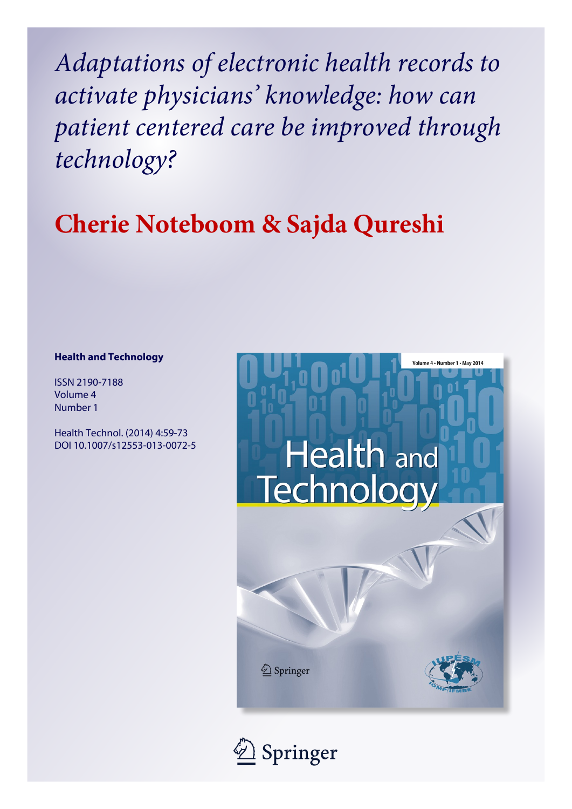*Adaptations of electronic health records to activate physicians' knowledge: how can patient centered care be improved through technology?*

# **Cherie Noteboom & Sajda Qureshi**

#### **Health and Technology**

ISSN 2190-7188 Volume 4 Number 1

Health Technol. (2014) 4:59-73 DOI 10.1007/s12553-013-0072-5



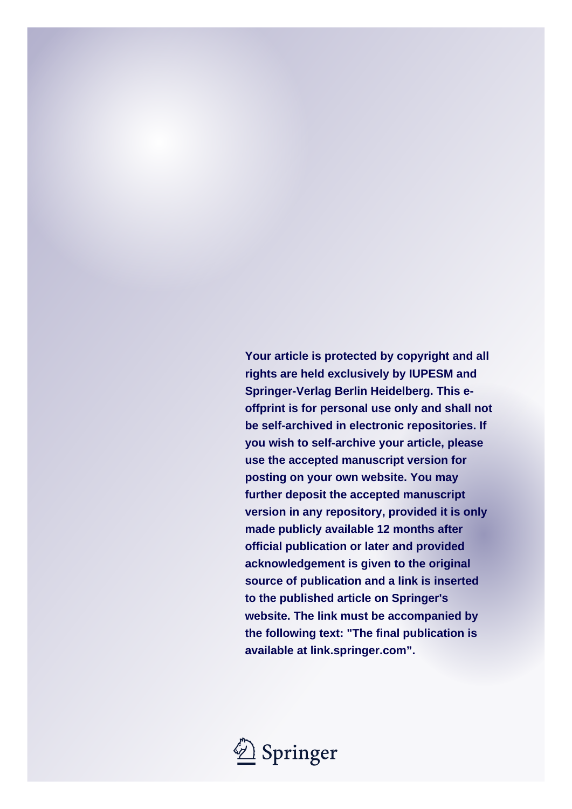**Your article is protected by copyright and all rights are held exclusively by IUPESM and Springer-Verlag Berlin Heidelberg. This eoffprint is for personal use only and shall not be self-archived in electronic repositories. If you wish to self-archive your article, please use the accepted manuscript version for posting on your own website. You may further deposit the accepted manuscript version in any repository, provided it is only made publicly available 12 months after official publication or later and provided acknowledgement is given to the original source of publication and a link is inserted to the published article on Springer's website. The link must be accompanied by the following text: "The final publication is available at link.springer.com".**

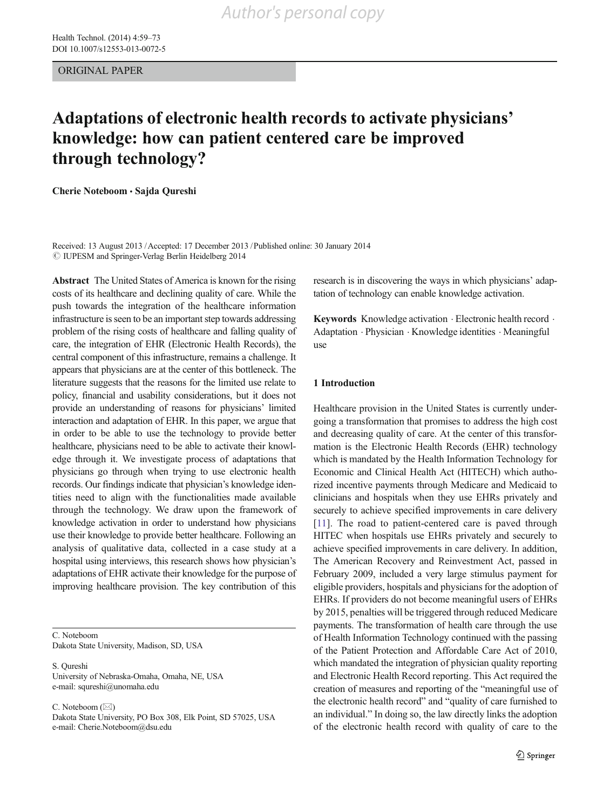ORIGINAL PAPER

## Adaptations of electronic health records to activate physicians' knowledge: how can patient centered care be improved through technology?

Cherie Noteboom · Sajda Qureshi

Received: 13 August 2013 /Accepted: 17 December 2013 /Published online: 30 January 2014  $\odot$  IUPESM and Springer-Verlag Berlin Heidelberg 2014

Abstract The United States of America is known for the rising costs of its healthcare and declining quality of care. While the push towards the integration of the healthcare information infrastructure is seen to be an important step towards addressing problem of the rising costs of healthcare and falling quality of care, the integration of EHR (Electronic Health Records), the central component of this infrastructure, remains a challenge. It appears that physicians are at the center of this bottleneck. The literature suggests that the reasons for the limited use relate to policy, financial and usability considerations, but it does not provide an understanding of reasons for physicians' limited interaction and adaptation of EHR. In this paper, we argue that in order to be able to use the technology to provide better healthcare, physicians need to be able to activate their knowledge through it. We investigate process of adaptations that physicians go through when trying to use electronic health records. Our findings indicate that physician's knowledge identities need to align with the functionalities made available through the technology. We draw upon the framework of knowledge activation in order to understand how physicians use their knowledge to provide better healthcare. Following an analysis of qualitative data, collected in a case study at a hospital using interviews, this research shows how physician's adaptations of EHR activate their knowledge for the purpose of improving healthcare provision. The key contribution of this

C. Noteboom Dakota State University, Madison, SD, USA

S. Qureshi University of Nebraska-Omaha, Omaha, NE, USA e-mail: squreshi@unomaha.edu

C. Noteboom  $(\boxtimes)$ 

Dakota State University, PO Box 308, Elk Point, SD 57025, USA e-mail: Cherie.Noteboom@dsu.edu

research is in discovering the ways in which physicians' adaptation of technology can enable knowledge activation.

Keywords Knowledge activation  $\cdot$  Electronic health record  $\cdot$ Adaptation . Physician . Knowledge identities . Meaningful use

#### 1 Introduction

Healthcare provision in the United States is currently undergoing a transformation that promises to address the high cost and decreasing quality of care. At the center of this transformation is the Electronic Health Records (EHR) technology which is mandated by the Health Information Technology for Economic and Clinical Health Act (HITECH) which authorized incentive payments through Medicare and Medicaid to clinicians and hospitals when they use EHRs privately and securely to achieve specified improvements in care delivery [\[11](#page-18-0)]. The road to patient-centered care is paved through HITEC when hospitals use EHRs privately and securely to achieve specified improvements in care delivery. In addition, The American Recovery and Reinvestment Act, passed in February 2009, included a very large stimulus payment for eligible providers, hospitals and physicians for the adoption of EHRs. If providers do not become meaningful users of EHRs by 2015, penalties will be triggered through reduced Medicare payments. The transformation of health care through the use of Health Information Technology continued with the passing of the Patient Protection and Affordable Care Act of 2010, which mandated the integration of physician quality reporting and Electronic Health Record reporting. This Act required the creation of measures and reporting of the "meaningful use of the electronic health record" and "quality of care furnished to an individual." In doing so, the law directly links the adoption of the electronic health record with quality of care to the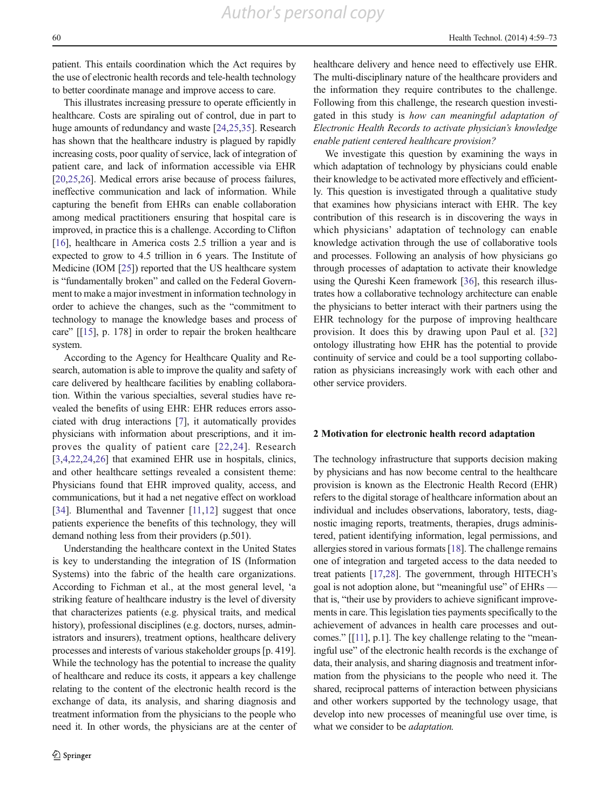patient. This entails coordination which the Act requires by the use of electronic health records and tele-health technology to better coordinate manage and improve access to care.

This illustrates increasing pressure to operate efficiently in healthcare. Costs are spiraling out of control, due in part to huge amounts of redundancy and waste [\[24,25](#page-18-0),[35](#page-18-0)]. Research has shown that the healthcare industry is plagued by rapidly increasing costs, poor quality of service, lack of integration of patient care, and lack of information accessible via EHR [\[20,25](#page-18-0),[26](#page-18-0)]. Medical errors arise because of process failures, ineffective communication and lack of information. While capturing the benefit from EHRs can enable collaboration among medical practitioners ensuring that hospital care is improved, in practice this is a challenge. According to Clifton [\[16\]](#page-18-0), healthcare in America costs 2.5 trillion a year and is expected to grow to 4.5 trillion in 6 years. The Institute of Medicine (IOM [[25](#page-18-0)]) reported that the US healthcare system is "fundamentally broken" and called on the Federal Government to make a major investment in information technology in order to achieve the changes, such as the "commitment to technology to manage the knowledge bases and process of care" [[\[15\]](#page-18-0), p. 178] in order to repair the broken healthcare system.

According to the Agency for Healthcare Quality and Research, automation is able to improve the quality and safety of care delivered by healthcare facilities by enabling collaboration. Within the various specialties, several studies have revealed the benefits of using EHR: EHR reduces errors associated with drug interactions [\[7](#page-18-0)], it automatically provides physicians with information about prescriptions, and it improves the quality of patient care [[22,24](#page-18-0)]. Research [\[3,4](#page-18-0),[22,24,26\]](#page-18-0) that examined EHR use in hospitals, clinics, and other healthcare settings revealed a consistent theme: Physicians found that EHR improved quality, access, and communications, but it had a net negative effect on workload [\[34](#page-18-0)]. Blumenthal and Tavenner [[11](#page-18-0),[12\]](#page-18-0) suggest that once patients experience the benefits of this technology, they will demand nothing less from their providers (p.501).

Understanding the healthcare context in the United States is key to understanding the integration of IS (Information Systems) into the fabric of the health care organizations. According to Fichman et al., at the most general level, 'a striking feature of healthcare industry is the level of diversity that characterizes patients (e.g. physical traits, and medical history), professional disciplines (e.g. doctors, nurses, administrators and insurers), treatment options, healthcare delivery processes and interests of various stakeholder groups [p. 419]. While the technology has the potential to increase the quality of healthcare and reduce its costs, it appears a key challenge relating to the content of the electronic health record is the exchange of data, its analysis, and sharing diagnosis and treatment information from the physicians to the people who need it. In other words, the physicians are at the center of healthcare delivery and hence need to effectively use EHR. The multi-disciplinary nature of the healthcare providers and the information they require contributes to the challenge. Following from this challenge, the research question investigated in this study is how can meaningful adaptation of Electronic Health Records to activate physician's knowledge enable patient centered healthcare provision?

We investigate this question by examining the ways in which adaptation of technology by physicians could enable their knowledge to be activated more effectively and efficiently. This question is investigated through a qualitative study that examines how physicians interact with EHR. The key contribution of this research is in discovering the ways in which physicians' adaptation of technology can enable knowledge activation through the use of collaborative tools and processes. Following an analysis of how physicians go through processes of adaptation to activate their knowledge using the Qureshi Keen framework [\[36\]](#page-18-0), this research illustrates how a collaborative technology architecture can enable the physicians to better interact with their partners using the EHR technology for the purpose of improving healthcare provision. It does this by drawing upon Paul et al. [[32](#page-18-0)] ontology illustrating how EHR has the potential to provide continuity of service and could be a tool supporting collaboration as physicians increasingly work with each other and other service providers.

#### 2 Motivation for electronic health record adaptation

The technology infrastructure that supports decision making by physicians and has now become central to the healthcare provision is known as the Electronic Health Record (EHR) refers to the digital storage of healthcare information about an individual and includes observations, laboratory, tests, diagnostic imaging reports, treatments, therapies, drugs administered, patient identifying information, legal permissions, and allergies stored in various formats [\[18](#page-18-0)]. The challenge remains one of integration and targeted access to the data needed to treat patients [\[17,28](#page-18-0)]. The government, through HITECH's goal is not adoption alone, but "meaningful use" of EHRs that is, "their use by providers to achieve significant improvements in care. This legislation ties payments specifically to the achievement of advances in health care processes and outcomes." [[[11](#page-18-0)], p.1]. The key challenge relating to the "meaningful use" of the electronic health records is the exchange of data, their analysis, and sharing diagnosis and treatment information from the physicians to the people who need it. The shared, reciprocal patterns of interaction between physicians and other workers supported by the technology usage, that develop into new processes of meaningful use over time, is what we consider to be *adaptation*.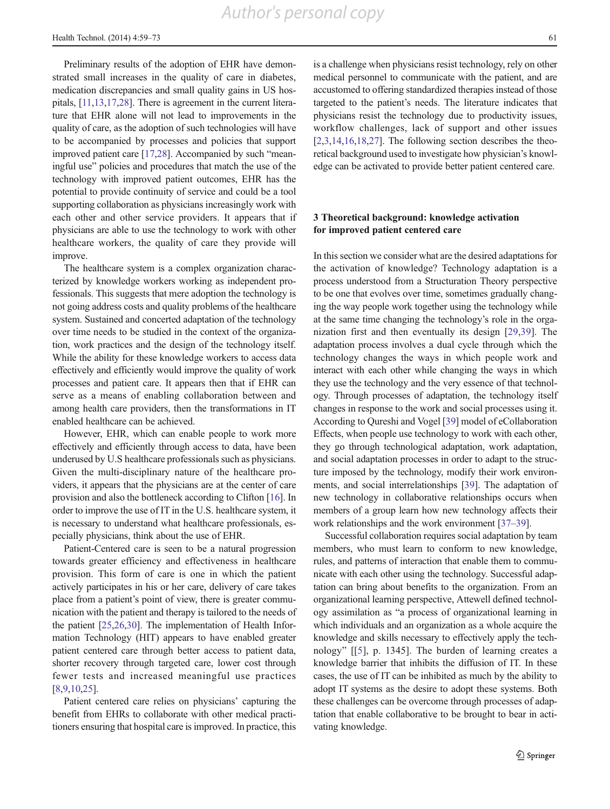Preliminary results of the adoption of EHR have demonstrated small increases in the quality of care in diabetes, medication discrepancies and small quality gains in US hospitals, [\[11,13,17,28](#page-18-0)]. There is agreement in the current literature that EHR alone will not lead to improvements in the quality of care, as the adoption of such technologies will have to be accompanied by processes and policies that support improved patient care [\[17,28](#page-18-0)]. Accompanied by such "meaningful use" policies and procedures that match the use of the technology with improved patient outcomes, EHR has the potential to provide continuity of service and could be a tool supporting collaboration as physicians increasingly work with each other and other service providers. It appears that if physicians are able to use the technology to work with other healthcare workers, the quality of care they provide will improve.

The healthcare system is a complex organization characterized by knowledge workers working as independent professionals. This suggests that mere adoption the technology is not going address costs and quality problems of the healthcare system. Sustained and concerted adaptation of the technology over time needs to be studied in the context of the organization, work practices and the design of the technology itself. While the ability for these knowledge workers to access data effectively and efficiently would improve the quality of work processes and patient care. It appears then that if EHR can serve as a means of enabling collaboration between and among health care providers, then the transformations in IT enabled healthcare can be achieved.

However, EHR, which can enable people to work more effectively and efficiently through access to data, have been underused by U.S healthcare professionals such as physicians. Given the multi-disciplinary nature of the healthcare providers, it appears that the physicians are at the center of care provision and also the bottleneck according to Clifton [\[16](#page-18-0)]. In order to improve the use of IT in the U.S. healthcare system, it is necessary to understand what healthcare professionals, especially physicians, think about the use of EHR.

Patient-Centered care is seen to be a natural progression towards greater efficiency and effectiveness in healthcare provision. This form of care is one in which the patient actively participates in his or her care, delivery of care takes place from a patient's point of view, there is greater communication with the patient and therapy is tailored to the needs of the patient [\[25](#page-18-0),[26](#page-18-0),[30\]](#page-18-0). The implementation of Health Information Technology (HIT) appears to have enabled greater patient centered care through better access to patient data, shorter recovery through targeted care, lower cost through fewer tests and increased meaningful use practices [\[8,9](#page-18-0),[10,25\]](#page-18-0).

Patient centered care relies on physicians' capturing the benefit from EHRs to collaborate with other medical practitioners ensuring that hospital care is improved. In practice, this is a challenge when physicians resist technology, rely on other medical personnel to communicate with the patient, and are accustomed to offering standardized therapies instead of those targeted to the patient's needs. The literature indicates that physicians resist the technology due to productivity issues, workflow challenges, lack of support and other issues  $[2,3,14,16,18,27]$  $[2,3,14,16,18,27]$  $[2,3,14,16,18,27]$  $[2,3,14,16,18,27]$  $[2,3,14,16,18,27]$  $[2,3,14,16,18,27]$ . The following section describes the theoretical background used to investigate how physician's knowledge can be activated to provide better patient centered care.

#### 3 Theoretical background: knowledge activation for improved patient centered care

In this section we consider what are the desired adaptations for the activation of knowledge? Technology adaptation is a process understood from a Structuration Theory perspective to be one that evolves over time, sometimes gradually changing the way people work together using the technology while at the same time changing the technology's role in the organization first and then eventually its design [\[29](#page-18-0),[39\]](#page-18-0). The adaptation process involves a dual cycle through which the technology changes the ways in which people work and interact with each other while changing the ways in which they use the technology and the very essence of that technology. Through processes of adaptation, the technology itself changes in response to the work and social processes using it. According to Qureshi and Vogel [\[39](#page-18-0)] model of eCollaboration Effects, when people use technology to work with each other, they go through technological adaptation, work adaptation, and social adaptation processes in order to adapt to the structure imposed by the technology, modify their work environments, and social interrelationships [[39](#page-18-0)]. The adaptation of new technology in collaborative relationships occurs when members of a group learn how new technology affects their work relationships and the work environment [\[37](#page-18-0)–[39\]](#page-18-0).

Successful collaboration requires social adaptation by team members, who must learn to conform to new knowledge, rules, and patterns of interaction that enable them to communicate with each other using the technology. Successful adaptation can bring about benefits to the organization. From an organizational learning perspective, Attewell defined technology assimilation as "a process of organizational learning in which individuals and an organization as a whole acquire the knowledge and skills necessary to effectively apply the technology" [[\[5](#page-18-0)], p. 1345]. The burden of learning creates a knowledge barrier that inhibits the diffusion of IT. In these cases, the use of IT can be inhibited as much by the ability to adopt IT systems as the desire to adopt these systems. Both these challenges can be overcome through processes of adaptation that enable collaborative to be brought to bear in activating knowledge.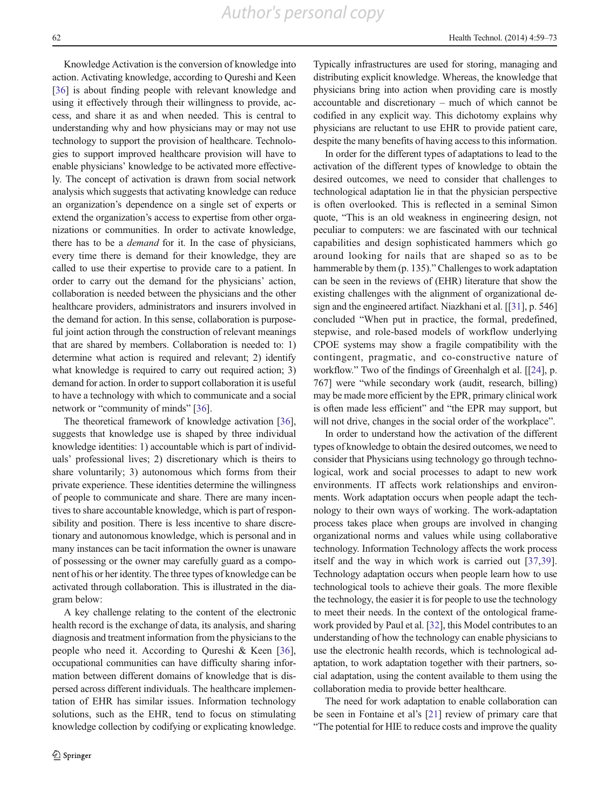Knowledge Activation is the conversion of knowledge into action. Activating knowledge, according to Qureshi and Keen [\[36](#page-18-0)] is about finding people with relevant knowledge and using it effectively through their willingness to provide, access, and share it as and when needed. This is central to understanding why and how physicians may or may not use technology to support the provision of healthcare. Technologies to support improved healthcare provision will have to enable physicians' knowledge to be activated more effectively. The concept of activation is drawn from social network analysis which suggests that activating knowledge can reduce an organization's dependence on a single set of experts or extend the organization's access to expertise from other organizations or communities. In order to activate knowledge, there has to be a demand for it. In the case of physicians, every time there is demand for their knowledge, they are called to use their expertise to provide care to a patient. In order to carry out the demand for the physicians' action, collaboration is needed between the physicians and the other healthcare providers, administrators and insurers involved in the demand for action. In this sense, collaboration is purposeful joint action through the construction of relevant meanings that are shared by members. Collaboration is needed to: 1) determine what action is required and relevant; 2) identify what knowledge is required to carry out required action; 3) demand for action. In order to support collaboration it is useful to have a technology with which to communicate and a social network or "community of minds" [[36\]](#page-18-0).

The theoretical framework of knowledge activation [[36\]](#page-18-0), suggests that knowledge use is shaped by three individual knowledge identities: 1) accountable which is part of individuals' professional lives; 2) discretionary which is theirs to share voluntarily; 3) autonomous which forms from their private experience. These identities determine the willingness of people to communicate and share. There are many incentives to share accountable knowledge, which is part of responsibility and position. There is less incentive to share discretionary and autonomous knowledge, which is personal and in many instances can be tacit information the owner is unaware of possessing or the owner may carefully guard as a component of his or her identity. The three types of knowledge can be activated through collaboration. This is illustrated in the diagram below:

A key challenge relating to the content of the electronic health record is the exchange of data, its analysis, and sharing diagnosis and treatment information from the physicians to the people who need it. According to Qureshi & Keen [\[36](#page-18-0)], occupational communities can have difficulty sharing information between different domains of knowledge that is dispersed across different individuals. The healthcare implementation of EHR has similar issues. Information technology solutions, such as the EHR, tend to focus on stimulating knowledge collection by codifying or explicating knowledge.

Typically infrastructures are used for storing, managing and distributing explicit knowledge. Whereas, the knowledge that physicians bring into action when providing care is mostly accountable and discretionary – much of which cannot be codified in any explicit way. This dichotomy explains why physicians are reluctant to use EHR to provide patient care, despite the many benefits of having access to this information.

In order for the different types of adaptations to lead to the activation of the different types of knowledge to obtain the desired outcomes, we need to consider that challenges to technological adaptation lie in that the physician perspective is often overlooked. This is reflected in a seminal Simon quote, "This is an old weakness in engineering design, not peculiar to computers: we are fascinated with our technical capabilities and design sophisticated hammers which go around looking for nails that are shaped so as to be hammerable by them (p. 135)." Challenges to work adaptation can be seen in the reviews of (EHR) literature that show the existing challenges with the alignment of organizational design and the engineered artifact. Niazkhani et al. [[\[31](#page-18-0)], p. 546] concluded "When put in practice, the formal, predefined, stepwise, and role-based models of workflow underlying CPOE systems may show a fragile compatibility with the contingent, pragmatic, and co-constructive nature of workflow." Two of the findings of Greenhalgh et al. [[[24\]](#page-18-0), p. 767] were "while secondary work (audit, research, billing) may be made more efficient by the EPR, primary clinical work is often made less efficient" and "the EPR may support, but will not drive, changes in the social order of the workplace".

In order to understand how the activation of the different types of knowledge to obtain the desired outcomes, we need to consider that Physicians using technology go through technological, work and social processes to adapt to new work environments. IT affects work relationships and environments. Work adaptation occurs when people adapt the technology to their own ways of working. The work-adaptation process takes place when groups are involved in changing organizational norms and values while using collaborative technology. Information Technology affects the work process itself and the way in which work is carried out [[37,39](#page-18-0)]. Technology adaptation occurs when people learn how to use technological tools to achieve their goals. The more flexible the technology, the easier it is for people to use the technology to meet their needs. In the context of the ontological framework provided by Paul et al. [[32](#page-18-0)], this Model contributes to an understanding of how the technology can enable physicians to use the electronic health records, which is technological adaptation, to work adaptation together with their partners, social adaptation, using the content available to them using the collaboration media to provide better healthcare.

The need for work adaptation to enable collaboration can be seen in Fontaine et al's [\[21](#page-18-0)] review of primary care that "The potential for HIE to reduce costs and improve the quality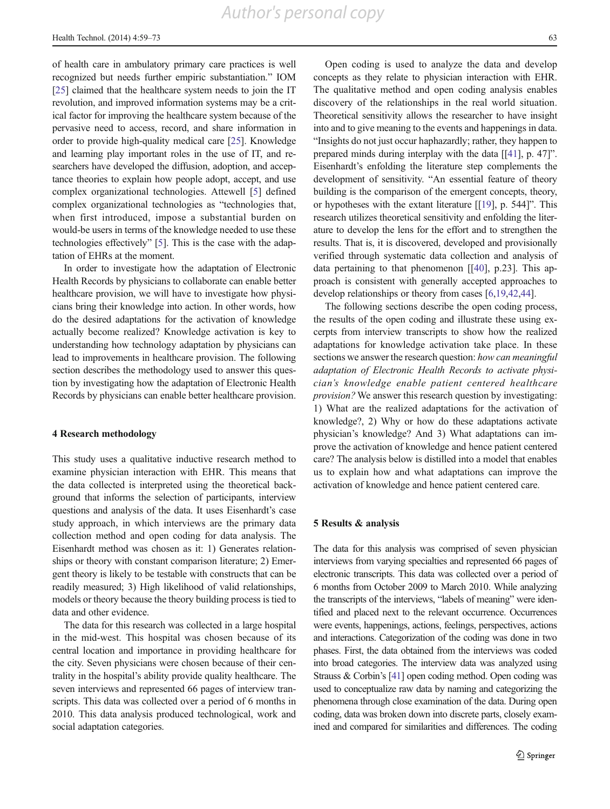of health care in ambulatory primary care practices is well recognized but needs further empiric substantiation." IOM [\[25\]](#page-18-0) claimed that the healthcare system needs to join the IT revolution, and improved information systems may be a critical factor for improving the healthcare system because of the pervasive need to access, record, and share information in order to provide high-quality medical care [\[25](#page-18-0)]. Knowledge and learning play important roles in the use of IT, and researchers have developed the diffusion, adoption, and acceptance theories to explain how people adopt, accept, and use complex organizational technologies. Attewell [\[5](#page-18-0)] defined complex organizational technologies as "technologies that, when first introduced, impose a substantial burden on would-be users in terms of the knowledge needed to use these technologies effectively" [\[5](#page-18-0)]. This is the case with the adaptation of EHRs at the moment.

In order to investigate how the adaptation of Electronic Health Records by physicians to collaborate can enable better healthcare provision, we will have to investigate how physicians bring their knowledge into action. In other words, how do the desired adaptations for the activation of knowledge actually become realized? Knowledge activation is key to understanding how technology adaptation by physicians can lead to improvements in healthcare provision. The following section describes the methodology used to answer this question by investigating how the adaptation of Electronic Health Records by physicians can enable better healthcare provision.

#### 4 Research methodology

This study uses a qualitative inductive research method to examine physician interaction with EHR. This means that the data collected is interpreted using the theoretical background that informs the selection of participants, interview questions and analysis of the data. It uses Eisenhardt's case study approach, in which interviews are the primary data collection method and open coding for data analysis. The Eisenhardt method was chosen as it: 1) Generates relationships or theory with constant comparison literature; 2) Emergent theory is likely to be testable with constructs that can be readily measured; 3) High likelihood of valid relationships, models or theory because the theory building process is tied to data and other evidence.

The data for this research was collected in a large hospital in the mid-west. This hospital was chosen because of its central location and importance in providing healthcare for the city. Seven physicians were chosen because of their centrality in the hospital's ability provide quality healthcare. The seven interviews and represented 66 pages of interview transcripts. This data was collected over a period of 6 months in 2010. This data analysis produced technological, work and social adaptation categories.

Open coding is used to analyze the data and develop concepts as they relate to physician interaction with EHR. The qualitative method and open coding analysis enables discovery of the relationships in the real world situation. Theoretical sensitivity allows the researcher to have insight into and to give meaning to the events and happenings in data. "Insights do not just occur haphazardly; rather, they happen to prepared minds during interplay with the data [[\[41\]](#page-18-0), p. 47]". Eisenhardt's enfolding the literature step complements the development of sensitivity. "An essential feature of theory building is the comparison of the emergent concepts, theory, or hypotheses with the extant literature [[\[19\]](#page-18-0), p. 544]". This research utilizes theoretical sensitivity and enfolding the literature to develop the lens for the effort and to strengthen the results. That is, it is discovered, developed and provisionally verified through systematic data collection and analysis of data pertaining to that phenomenon [[\[40\]](#page-18-0), p.23]. This approach is consistent with generally accepted approaches to develop relationships or theory from cases [\[6,19,42](#page-18-0),[44](#page-18-0)].

The following sections describe the open coding process, the results of the open coding and illustrate these using excerpts from interview transcripts to show how the realized adaptations for knowledge activation take place. In these sections we answer the research question: how can meaningful adaptation of Electronic Health Records to activate physician's knowledge enable patient centered healthcare provision? We answer this research question by investigating: 1) What are the realized adaptations for the activation of knowledge?, 2) Why or how do these adaptations activate physician's knowledge? And 3) What adaptations can improve the activation of knowledge and hence patient centered care? The analysis below is distilled into a model that enables us to explain how and what adaptations can improve the activation of knowledge and hence patient centered care.

#### 5 Results & analysis

The data for this analysis was comprised of seven physician interviews from varying specialties and represented 66 pages of electronic transcripts. This data was collected over a period of 6 months from October 2009 to March 2010. While analyzing the transcripts of the interviews, "labels of meaning" were identified and placed next to the relevant occurrence. Occurrences were events, happenings, actions, feelings, perspectives, actions and interactions. Categorization of the coding was done in two phases. First, the data obtained from the interviews was coded into broad categories. The interview data was analyzed using Strauss & Corbin's [\[41\]](#page-18-0) open coding method. Open coding was used to conceptualize raw data by naming and categorizing the phenomena through close examination of the data. During open coding, data was broken down into discrete parts, closely examined and compared for similarities and differences. The coding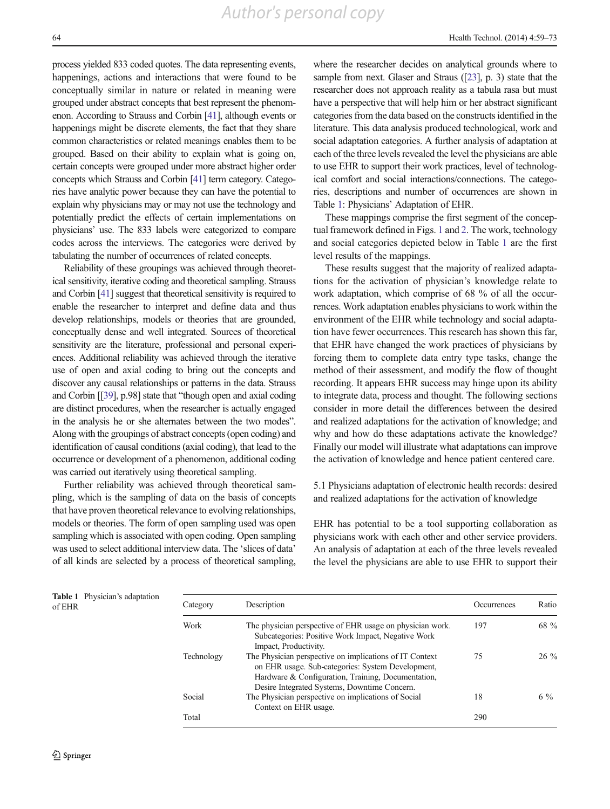process yielded 833 coded quotes. The data representing events, happenings, actions and interactions that were found to be conceptually similar in nature or related in meaning were grouped under abstract concepts that best represent the phenomenon. According to Strauss and Corbin [[41](#page-18-0)], although events or happenings might be discrete elements, the fact that they share common characteristics or related meanings enables them to be grouped. Based on their ability to explain what is going on, certain concepts were grouped under more abstract higher order concepts which Strauss and Corbin [[41](#page-18-0)] term category. Categories have analytic power because they can have the potential to explain why physicians may or may not use the technology and potentially predict the effects of certain implementations on physicians' use. The 833 labels were categorized to compare codes across the interviews. The categories were derived by tabulating the number of occurrences of related concepts.

Reliability of these groupings was achieved through theoretical sensitivity, iterative coding and theoretical sampling. Strauss and Corbin [\[41\]](#page-18-0) suggest that theoretical sensitivity is required to enable the researcher to interpret and define data and thus develop relationships, models or theories that are grounded, conceptually dense and well integrated. Sources of theoretical sensitivity are the literature, professional and personal experiences. Additional reliability was achieved through the iterative use of open and axial coding to bring out the concepts and discover any causal relationships or patterns in the data. Strauss and Corbin [[\[39](#page-18-0)], p.98] state that "though open and axial coding are distinct procedures, when the researcher is actually engaged in the analysis he or she alternates between the two modes". Along with the groupings of abstract concepts (open coding) and identification of causal conditions (axial coding), that lead to the occurrence or development of a phenomenon, additional coding was carried out iteratively using theoretical sampling.

Further reliability was achieved through theoretical sampling, which is the sampling of data on the basis of concepts that have proven theoretical relevance to evolving relationships, models or theories. The form of open sampling used was open sampling which is associated with open coding. Open sampling was used to select additional interview data. The 'slices of data' of all kinds are selected by a process of theoretical sampling,

where the researcher decides on analytical grounds where to sample from next. Glaser and Straus ([\[23\]](#page-18-0), p. 3) state that the researcher does not approach reality as a tabula rasa but must have a perspective that will help him or her abstract significant categories from the data based on the constructs identified in the literature. This data analysis produced technological, work and social adaptation categories. A further analysis of adaptation at each of the three levels revealed the level the physicians are able to use EHR to support their work practices, level of technological comfort and social interactions/connections. The categories, descriptions and number of occurrences are shown in Table 1: Physicians' Adaptation of EHR.

These mappings comprise the first segment of the conceptual framework defined in Figs. [1](#page-10-0) and [2](#page-10-0). The work, technology and social categories depicted below in Table 1 are the first level results of the mappings.

These results suggest that the majority of realized adaptations for the activation of physician's knowledge relate to work adaptation, which comprise of 68 % of all the occurrences. Work adaptation enables physicians to work within the environment of the EHR while technology and social adaptation have fewer occurrences. This research has shown this far, that EHR have changed the work practices of physicians by forcing them to complete data entry type tasks, change the method of their assessment, and modify the flow of thought recording. It appears EHR success may hinge upon its ability to integrate data, process and thought. The following sections consider in more detail the differences between the desired and realized adaptations for the activation of knowledge; and why and how do these adaptations activate the knowledge? Finally our model will illustrate what adaptations can improve the activation of knowledge and hence patient centered care.

5.1 Physicians adaptation of electronic health records: desired and realized adaptations for the activation of knowledge

EHR has potential to be a tool supporting collaboration as physicians work with each other and other service providers. An analysis of adaptation at each of the three levels revealed the level the physicians are able to use EHR to support their

|        | <b>Table 1</b> Physician's adaptation |  |
|--------|---------------------------------------|--|
| of EHR |                                       |  |

| <b>Table 1</b> Physician s adaptation<br>of EHR | Category   | Description                                                                                                                                                                                                        | Occurrences | Ratio  |
|-------------------------------------------------|------------|--------------------------------------------------------------------------------------------------------------------------------------------------------------------------------------------------------------------|-------------|--------|
|                                                 | Work       | The physician perspective of EHR usage on physician work.<br>Subcategories: Positive Work Impact, Negative Work<br>Impact, Productivity.                                                                           | 197         | 68 %   |
|                                                 | Technology | The Physician perspective on implications of IT Context<br>on EHR usage. Sub-categories: System Development,<br>Hardware & Configuration, Training, Documentation,<br>Desire Integrated Systems, Downtime Concern. | 75          | $26\%$ |
|                                                 | Social     | The Physician perspective on implications of Social<br>Context on EHR usage.                                                                                                                                       | 18          | 6 %    |
|                                                 | Total      |                                                                                                                                                                                                                    | 290         |        |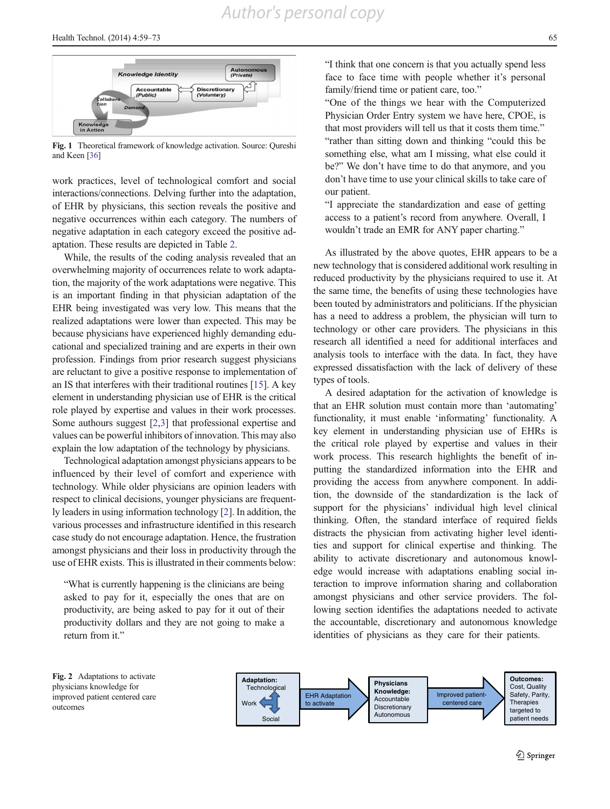<span id="page-10-0"></span>

Fig. 1 Theoretical framework of knowledge activation. Source: Qureshi and Keen [\[36\]](#page-18-0)

work practices, level of technological comfort and social interactions/connections. Delving further into the adaptation, of EHR by physicians, this section reveals the positive and negative occurrences within each category. The numbers of negative adaptation in each category exceed the positive adaptation. These results are depicted in Table [2](#page-11-0).

While, the results of the coding analysis revealed that an overwhelming majority of occurrences relate to work adaptation, the majority of the work adaptations were negative. This is an important finding in that physician adaptation of the EHR being investigated was very low. This means that the realized adaptations were lower than expected. This may be because physicians have experienced highly demanding educational and specialized training and are experts in their own profession. Findings from prior research suggest physicians are reluctant to give a positive response to implementation of an IS that interferes with their traditional routines [[15](#page-18-0)]. A key element in understanding physician use of EHR is the critical role played by expertise and values in their work processes. Some authours suggest [\[2](#page-18-0),[3\]](#page-18-0) that professional expertise and values can be powerful inhibitors of innovation. This may also explain the low adaptation of the technology by physicians.

Technological adaptation amongst physicians appears to be influenced by their level of comfort and experience with technology. While older physicians are opinion leaders with respect to clinical decisions, younger physicians are frequently leaders in using information technology [\[2](#page-18-0)]. In addition, the various processes and infrastructure identified in this research case study do not encourage adaptation. Hence, the frustration amongst physicians and their loss in productivity through the use of EHR exists. This is illustrated in their comments below:

"What is currently happening is the clinicians are being asked to pay for it, especially the ones that are on productivity, are being asked to pay for it out of their productivity dollars and they are not going to make a return from it."

"I think that one concern is that you actually spend less face to face time with people whether it's personal family/friend time or patient care, too."

"One of the things we hear with the Computerized Physician Order Entry system we have here, CPOE, is that most providers will tell us that it costs them time." "rather than sitting down and thinking "could this be something else, what am I missing, what else could it be?" We don't have time to do that anymore, and you don't have time to use your clinical skills to take care of our patient.

"I appreciate the standardization and ease of getting access to a patient's record from anywhere. Overall, I wouldn't trade an EMR for ANY paper charting."

As illustrated by the above quotes, EHR appears to be a new technology that is considered additional work resulting in reduced productivity by the physicians required to use it. At the same time, the benefits of using these technologies have been touted by administrators and politicians. If the physician has a need to address a problem, the physician will turn to technology or other care providers. The physicians in this research all identified a need for additional interfaces and analysis tools to interface with the data. In fact, they have expressed dissatisfaction with the lack of delivery of these types of tools.

A desired adaptation for the activation of knowledge is that an EHR solution must contain more than 'automating' functionality, it must enable 'informating' functionality. A key element in understanding physician use of EHRs is the critical role played by expertise and values in their work process. This research highlights the benefit of inputting the standardized information into the EHR and providing the access from anywhere component. In addition, the downside of the standardization is the lack of support for the physicians' individual high level clinical thinking. Often, the standard interface of required fields distracts the physician from activating higher level identities and support for clinical expertise and thinking. The ability to activate discretionary and autonomous knowledge would increase with adaptations enabling social interaction to improve information sharing and collaboration amongst physicians and other service providers. The following section identifies the adaptations needed to activate the accountable, discretionary and autonomous knowledge identities of physicians as they care for their patients.

Fig. 2 Adaptations to activate physicians knowledge for improved patient centered care outcomes

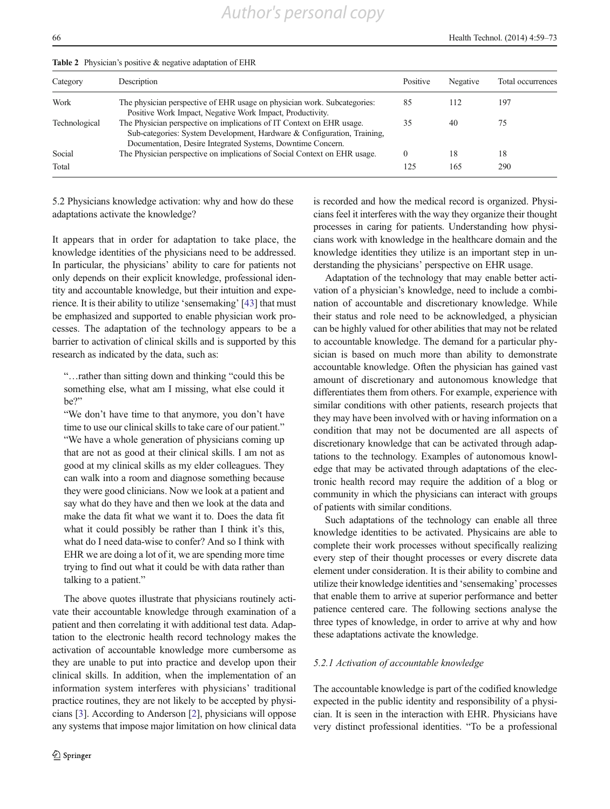| Category      | Description                                                                                                                                                                                                     | Positive | Negative | Total occurrences |
|---------------|-----------------------------------------------------------------------------------------------------------------------------------------------------------------------------------------------------------------|----------|----------|-------------------|
| Work          | The physician perspective of EHR usage on physician work. Subcategories:<br>Positive Work Impact, Negative Work Impact, Productivity.                                                                           | 85       | 112      | 197               |
| Technological | The Physician perspective on implications of IT Context on EHR usage.<br>Sub-categories: System Development, Hardware & Configuration, Training,<br>Documentation, Desire Integrated Systems, Downtime Concern. | 35       | 40       | 75                |
| Social        | The Physician perspective on implications of Social Context on EHR usage.                                                                                                                                       |          | 18       | 18                |
| Total         |                                                                                                                                                                                                                 | 125      | 165      | 290               |

<span id="page-11-0"></span>Table 2 Physician's positive & negative adaptation of EHR

5.2 Physicians knowledge activation: why and how do these adaptations activate the knowledge?

It appears that in order for adaptation to take place, the knowledge identities of the physicians need to be addressed. In particular, the physicians' ability to care for patients not only depends on their explicit knowledge, professional identity and accountable knowledge, but their intuition and experience. It is their ability to utilize 'sensemaking' [[43](#page-18-0)] that must be emphasized and supported to enable physician work processes. The adaptation of the technology appears to be a barrier to activation of clinical skills and is supported by this research as indicated by the data, such as:

"…rather than sitting down and thinking "could this be something else, what am I missing, what else could it be?"

"We don't have time to that anymore, you don't have time to use our clinical skills to take care of our patient." "We have a whole generation of physicians coming up that are not as good at their clinical skills. I am not as good at my clinical skills as my elder colleagues. They can walk into a room and diagnose something because they were good clinicians. Now we look at a patient and say what do they have and then we look at the data and make the data fit what we want it to. Does the data fit what it could possibly be rather than I think it's this, what do I need data-wise to confer? And so I think with EHR we are doing a lot of it, we are spending more time trying to find out what it could be with data rather than talking to a patient."

The above quotes illustrate that physicians routinely activate their accountable knowledge through examination of a patient and then correlating it with additional test data. Adaptation to the electronic health record technology makes the activation of accountable knowledge more cumbersome as they are unable to put into practice and develop upon their clinical skills. In addition, when the implementation of an information system interferes with physicians' traditional practice routines, they are not likely to be accepted by physicians [[3\]](#page-18-0). According to Anderson [\[2](#page-18-0)], physicians will oppose any systems that impose major limitation on how clinical data is recorded and how the medical record is organized. Physicians feel it interferes with the way they organize their thought processes in caring for patients. Understanding how physicians work with knowledge in the healthcare domain and the knowledge identities they utilize is an important step in understanding the physicians' perspective on EHR usage.

Adaptation of the technology that may enable better activation of a physician's knowledge, need to include a combination of accountable and discretionary knowledge. While their status and role need to be acknowledged, a physician can be highly valued for other abilities that may not be related to accountable knowledge. The demand for a particular physician is based on much more than ability to demonstrate accountable knowledge. Often the physician has gained vast amount of discretionary and autonomous knowledge that differentiates them from others. For example, experience with similar conditions with other patients, research projects that they may have been involved with or having information on a condition that may not be documented are all aspects of discretionary knowledge that can be activated through adaptations to the technology. Examples of autonomous knowledge that may be activated through adaptations of the electronic health record may require the addition of a blog or community in which the physicians can interact with groups of patients with similar conditions.

Such adaptations of the technology can enable all three knowledge identities to be activated. Physicains are able to complete their work processes without specifically realizing every step of their thought processes or every discrete data element under consideration. It is their ability to combine and utilize their knowledge identities and 'sensemaking' processes that enable them to arrive at superior performance and better patience centered care. The following sections analyse the three types of knowledge, in order to arrive at why and how these adaptations activate the knowledge.

#### 5.2.1 Activation of accountable knowledge

The accountable knowledge is part of the codified knowledge expected in the public identity and responsibility of a physician. It is seen in the interaction with EHR. Physicians have very distinct professional identities. "To be a professional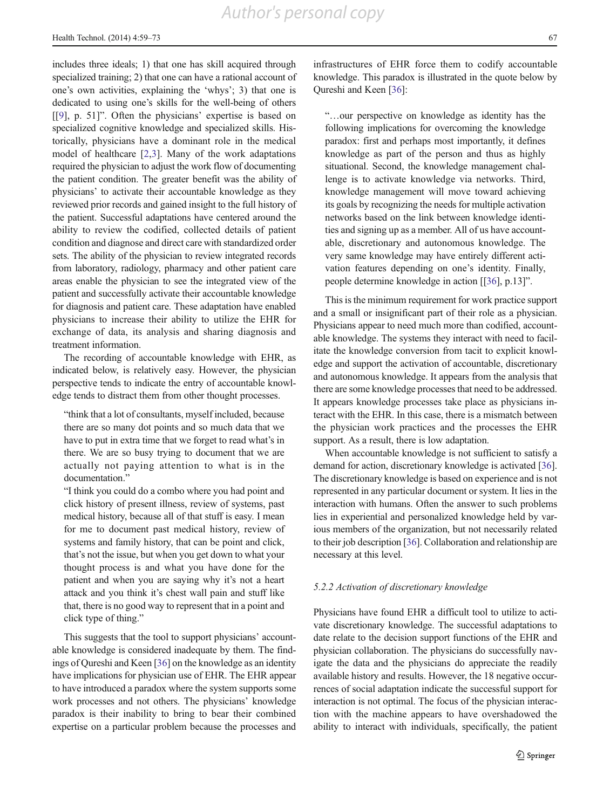includes three ideals; 1) that one has skill acquired through specialized training; 2) that one can have a rational account of one's own activities, explaining the 'whys'; 3) that one is dedicated to using one's skills for the well-being of others [[\[9](#page-18-0)], p. 51]". Often the physicians' expertise is based on specialized cognitive knowledge and specialized skills. Historically, physicians have a dominant role in the medical model of healthcare [[2,3](#page-18-0)]. Many of the work adaptations required the physician to adjust the work flow of documenting the patient condition. The greater benefit was the ability of physicians' to activate their accountable knowledge as they reviewed prior records and gained insight to the full history of the patient. Successful adaptations have centered around the ability to review the codified, collected details of patient condition and diagnose and direct care with standardized order sets. The ability of the physician to review integrated records from laboratory, radiology, pharmacy and other patient care areas enable the physician to see the integrated view of the patient and successfully activate their accountable knowledge for diagnosis and patient care. These adaptation have enabled physicians to increase their ability to utilize the EHR for exchange of data, its analysis and sharing diagnosis and treatment information.

The recording of accountable knowledge with EHR, as indicated below, is relatively easy. However, the physician perspective tends to indicate the entry of accountable knowledge tends to distract them from other thought processes.

"think that a lot of consultants, myself included, because there are so many dot points and so much data that we have to put in extra time that we forget to read what's in there. We are so busy trying to document that we are actually not paying attention to what is in the documentation."

"I think you could do a combo where you had point and click history of present illness, review of systems, past medical history, because all of that stuff is easy. I mean for me to document past medical history, review of systems and family history, that can be point and click, that's not the issue, but when you get down to what your thought process is and what you have done for the patient and when you are saying why it's not a heart attack and you think it's chest wall pain and stuff like that, there is no good way to represent that in a point and click type of thing."

This suggests that the tool to support physicians' accountable knowledge is considered inadequate by them. The findings of Qureshi and Keen [\[36](#page-18-0)] on the knowledge as an identity have implications for physician use of EHR. The EHR appear to have introduced a paradox where the system supports some work processes and not others. The physicians' knowledge paradox is their inability to bring to bear their combined expertise on a particular problem because the processes and infrastructures of EHR force them to codify accountable knowledge. This paradox is illustrated in the quote below by Qureshi and Keen [[36](#page-18-0)]:

"…our perspective on knowledge as identity has the following implications for overcoming the knowledge paradox: first and perhaps most importantly, it defines knowledge as part of the person and thus as highly situational. Second, the knowledge management challenge is to activate knowledge via networks. Third, knowledge management will move toward achieving its goals by recognizing the needs for multiple activation networks based on the link between knowledge identities and signing up as a member. All of us have accountable, discretionary and autonomous knowledge. The very same knowledge may have entirely different activation features depending on one's identity. Finally, people determine knowledge in action [[\[36\]](#page-18-0), p.13]".

This is the minimum requirement for work practice support and a small or insignificant part of their role as a physician. Physicians appear to need much more than codified, accountable knowledge. The systems they interact with need to facilitate the knowledge conversion from tacit to explicit knowledge and support the activation of accountable, discretionary and autonomous knowledge. It appears from the analysis that there are some knowledge processes that need to be addressed. It appears knowledge processes take place as physicians interact with the EHR. In this case, there is a mismatch between the physician work practices and the processes the EHR support. As a result, there is low adaptation.

When accountable knowledge is not sufficient to satisfy a demand for action, discretionary knowledge is activated [[36\]](#page-18-0). The discretionary knowledge is based on experience and is not represented in any particular document or system. It lies in the interaction with humans. Often the answer to such problems lies in experiential and personalized knowledge held by various members of the organization, but not necessarily related to their job description [\[36\]](#page-18-0). Collaboration and relationship are necessary at this level.

#### 5.2.2 Activation of discretionary knowledge

Physicians have found EHR a difficult tool to utilize to activate discretionary knowledge. The successful adaptations to date relate to the decision support functions of the EHR and physician collaboration. The physicians do successfully navigate the data and the physicians do appreciate the readily available history and results. However, the 18 negative occurrences of social adaptation indicate the successful support for interaction is not optimal. The focus of the physician interaction with the machine appears to have overshadowed the ability to interact with individuals, specifically, the patient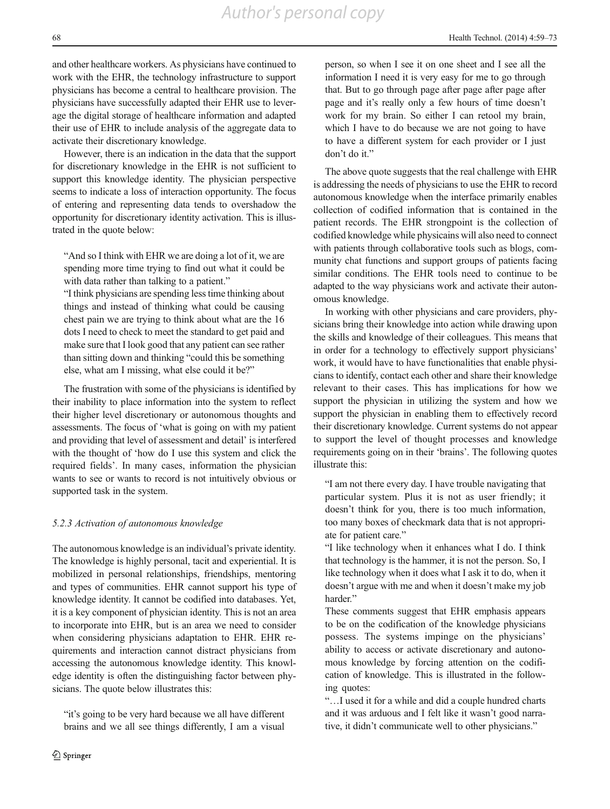and other healthcare workers. As physicians have continued to work with the EHR, the technology infrastructure to support physicians has become a central to healthcare provision. The physicians have successfully adapted their EHR use to leverage the digital storage of healthcare information and adapted their use of EHR to include analysis of the aggregate data to activate their discretionary knowledge.

However, there is an indication in the data that the support for discretionary knowledge in the EHR is not sufficient to support this knowledge identity. The physician perspective seems to indicate a loss of interaction opportunity. The focus of entering and representing data tends to overshadow the opportunity for discretionary identity activation. This is illustrated in the quote below:

"And so I think with EHR we are doing a lot of it, we are spending more time trying to find out what it could be with data rather than talking to a patient."

"I think physicians are spending less time thinking about things and instead of thinking what could be causing chest pain we are trying to think about what are the 16 dots I need to check to meet the standard to get paid and make sure that I look good that any patient can see rather than sitting down and thinking "could this be something else, what am I missing, what else could it be?"

The frustration with some of the physicians is identified by their inability to place information into the system to reflect their higher level discretionary or autonomous thoughts and assessments. The focus of 'what is going on with my patient and providing that level of assessment and detail' is interfered with the thought of 'how do I use this system and click the required fields'. In many cases, information the physician wants to see or wants to record is not intuitively obvious or supported task in the system.

#### 5.2.3 Activation of autonomous knowledge

The autonomous knowledge is an individual's private identity. The knowledge is highly personal, tacit and experiential. It is mobilized in personal relationships, friendships, mentoring and types of communities. EHR cannot support his type of knowledge identity. It cannot be codified into databases. Yet, it is a key component of physician identity. This is not an area to incorporate into EHR, but is an area we need to consider when considering physicians adaptation to EHR. EHR requirements and interaction cannot distract physicians from accessing the autonomous knowledge identity. This knowledge identity is often the distinguishing factor between physicians. The quote below illustrates this:

"it's going to be very hard because we all have different brains and we all see things differently, I am a visual

person, so when I see it on one sheet and I see all the information I need it is very easy for me to go through that. But to go through page after page after page after page and it's really only a few hours of time doesn't work for my brain. So either I can retool my brain, which I have to do because we are not going to have to have a different system for each provider or I just don't do it."

The above quote suggests that the real challenge with EHR is addressing the needs of physicians to use the EHR to record autonomous knowledge when the interface primarily enables collection of codified information that is contained in the patient records. The EHR strongpoint is the collection of codified knowledge while physicains will also need to connect with patients through collaborative tools such as blogs, community chat functions and support groups of patients facing similar conditions. The EHR tools need to continue to be adapted to the way physicians work and activate their autonomous knowledge.

In working with other physicians and care providers, physicians bring their knowledge into action while drawing upon the skills and knowledge of their colleagues. This means that in order for a technology to effectively support physicians' work, it would have to have functionalities that enable physicians to identify, contact each other and share their knowledge relevant to their cases. This has implications for how we support the physician in utilizing the system and how we support the physician in enabling them to effectively record their discretionary knowledge. Current systems do not appear to support the level of thought processes and knowledge requirements going on in their 'brains'. The following quotes illustrate this:

"I am not there every day. I have trouble navigating that particular system. Plus it is not as user friendly; it doesn't think for you, there is too much information, too many boxes of checkmark data that is not appropriate for patient care."

"I like technology when it enhances what I do. I think that technology is the hammer, it is not the person. So, I like technology when it does what I ask it to do, when it doesn't argue with me and when it doesn't make my job harder."

These comments suggest that EHR emphasis appears to be on the codification of the knowledge physicians possess. The systems impinge on the physicians' ability to access or activate discretionary and autonomous knowledge by forcing attention on the codification of knowledge. This is illustrated in the following quotes:

"…I used it for a while and did a couple hundred charts and it was arduous and I felt like it wasn't good narrative, it didn't communicate well to other physicians."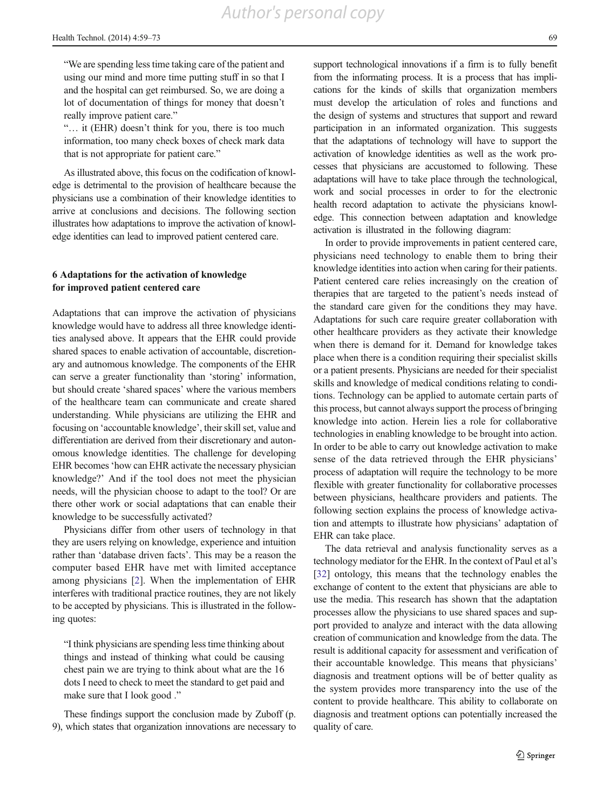"We are spending less time taking care of the patient and using our mind and more time putting stuff in so that I and the hospital can get reimbursed. So, we are doing a lot of documentation of things for money that doesn't really improve patient care."

"… it (EHR) doesn't think for you, there is too much information, too many check boxes of check mark data that is not appropriate for patient care."

As illustrated above, this focus on the codification of knowledge is detrimental to the provision of healthcare because the physicians use a combination of their knowledge identities to arrive at conclusions and decisions. The following section illustrates how adaptations to improve the activation of knowledge identities can lead to improved patient centered care.

#### 6 Adaptations for the activation of knowledge for improved patient centered care

Adaptations that can improve the activation of physicians knowledge would have to address all three knowledge identities analysed above. It appears that the EHR could provide shared spaces to enable activation of accountable, discretionary and autnomous knowledge. The components of the EHR can serve a greater functionality than 'storing' information, but should create 'shared spaces' where the various members of the healthcare team can communicate and create shared understanding. While physicians are utilizing the EHR and focusing on 'accountable knowledge', their skill set, value and differentiation are derived from their discretionary and autonomous knowledge identities. The challenge for developing EHR becomes 'how can EHR activate the necessary physician knowledge?' And if the tool does not meet the physician needs, will the physician choose to adapt to the tool? Or are there other work or social adaptations that can enable their knowledge to be successfully activated?

Physicians differ from other users of technology in that they are users relying on knowledge, experience and intuition rather than 'database driven facts'. This may be a reason the computer based EHR have met with limited acceptance among physicians [\[2](#page-18-0)]. When the implementation of EHR interferes with traditional practice routines, they are not likely to be accepted by physicians. This is illustrated in the following quotes:

"I think physicians are spending less time thinking about things and instead of thinking what could be causing chest pain we are trying to think about what are the 16 dots I need to check to meet the standard to get paid and make sure that I look good ."

These findings support the conclusion made by Zuboff (p. 9), which states that organization innovations are necessary to support technological innovations if a firm is to fully benefit from the informating process. It is a process that has implications for the kinds of skills that organization members must develop the articulation of roles and functions and the design of systems and structures that support and reward participation in an informated organization. This suggests that the adaptations of technology will have to support the activation of knowledge identities as well as the work processes that physicians are accustomed to following. These adaptations will have to take place through the technological, work and social processes in order to for the electronic health record adaptation to activate the physicians knowledge. This connection between adaptation and knowledge activation is illustrated in the following diagram:

In order to provide improvements in patient centered care, physicians need technology to enable them to bring their knowledge identities into action when caring for their patients. Patient centered care relies increasingly on the creation of therapies that are targeted to the patient's needs instead of the standard care given for the conditions they may have. Adaptations for such care require greater collaboration with other healthcare providers as they activate their knowledge when there is demand for it. Demand for knowledge takes place when there is a condition requiring their specialist skills or a patient presents. Physicians are needed for their specialist skills and knowledge of medical conditions relating to conditions. Technology can be applied to automate certain parts of this process, but cannot always support the process of bringing knowledge into action. Herein lies a role for collaborative technologies in enabling knowledge to be brought into action. In order to be able to carry out knowledge activation to make sense of the data retrieved through the EHR physicians' process of adaptation will require the technology to be more flexible with greater functionality for collaborative processes between physicians, healthcare providers and patients. The following section explains the process of knowledge activation and attempts to illustrate how physicians' adaptation of EHR can take place.

The data retrieval and analysis functionality serves as a technology mediator for the EHR. In the context of Paul et al's [\[32](#page-18-0)] ontology, this means that the technology enables the exchange of content to the extent that physicians are able to use the media. This research has shown that the adaptation processes allow the physicians to use shared spaces and support provided to analyze and interact with the data allowing creation of communication and knowledge from the data. The result is additional capacity for assessment and verification of their accountable knowledge. This means that physicians' diagnosis and treatment options will be of better quality as the system provides more transparency into the use of the content to provide healthcare. This ability to collaborate on diagnosis and treatment options can potentially increased the quality of care.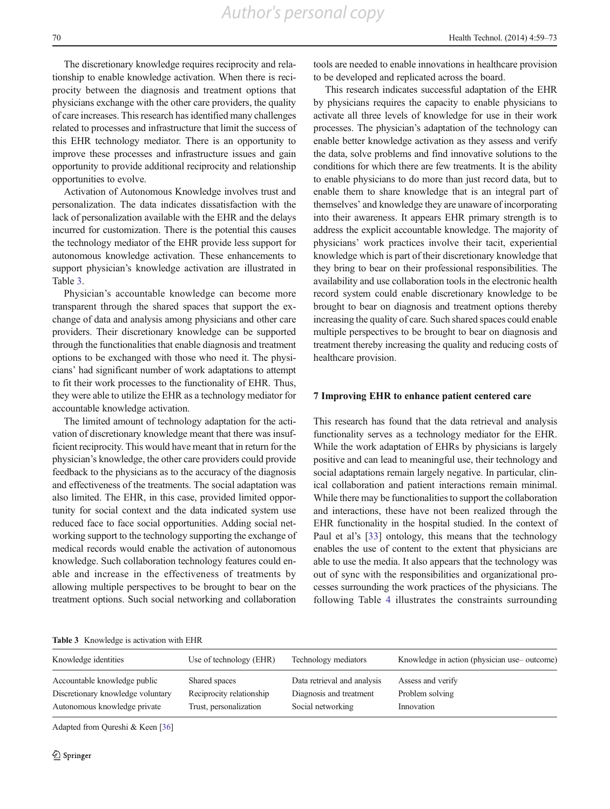## *Author's personal copy*

The discretionary knowledge requires reciprocity and relationship to enable knowledge activation. When there is reciprocity between the diagnosis and treatment options that physicians exchange with the other care providers, the quality of care increases. This research has identified many challenges related to processes and infrastructure that limit the success of this EHR technology mediator. There is an opportunity to improve these processes and infrastructure issues and gain opportunity to provide additional reciprocity and relationship opportunities to evolve.

Activation of Autonomous Knowledge involves trust and personalization. The data indicates dissatisfaction with the lack of personalization available with the EHR and the delays incurred for customization. There is the potential this causes the technology mediator of the EHR provide less support for autonomous knowledge activation. These enhancements to support physician's knowledge activation are illustrated in Table 3.

Physician's accountable knowledge can become more transparent through the shared spaces that support the exchange of data and analysis among physicians and other care providers. Their discretionary knowledge can be supported through the functionalities that enable diagnosis and treatment options to be exchanged with those who need it. The physicians' had significant number of work adaptations to attempt to fit their work processes to the functionality of EHR. Thus, they were able to utilize the EHR as a technology mediator for accountable knowledge activation.

The limited amount of technology adaptation for the activation of discretionary knowledge meant that there was insufficient reciprocity. This would have meant that in return for the physician's knowledge, the other care providers could provide feedback to the physicians as to the accuracy of the diagnosis and effectiveness of the treatments. The social adaptation was also limited. The EHR, in this case, provided limited opportunity for social context and the data indicated system use reduced face to face social opportunities. Adding social networking support to the technology supporting the exchange of medical records would enable the activation of autonomous knowledge. Such collaboration technology features could enable and increase in the effectiveness of treatments by allowing multiple perspectives to be brought to bear on the treatment options. Such social networking and collaboration

tools are needed to enable innovations in healthcare provision to be developed and replicated across the board.

This research indicates successful adaptation of the EHR by physicians requires the capacity to enable physicians to activate all three levels of knowledge for use in their work processes. The physician's adaptation of the technology can enable better knowledge activation as they assess and verify the data, solve problems and find innovative solutions to the conditions for which there are few treatments. It is the ability to enable physicians to do more than just record data, but to enable them to share knowledge that is an integral part of themselves' and knowledge they are unaware of incorporating into their awareness. It appears EHR primary strength is to address the explicit accountable knowledge. The majority of physicians' work practices involve their tacit, experiential knowledge which is part of their discretionary knowledge that they bring to bear on their professional responsibilities. The availability and use collaboration tools in the electronic health record system could enable discretionary knowledge to be brought to bear on diagnosis and treatment options thereby increasing the quality of care. Such shared spaces could enable multiple perspectives to be brought to bear on diagnosis and treatment thereby increasing the quality and reducing costs of healthcare provision.

#### 7 Improving EHR to enhance patient centered care

This research has found that the data retrieval and analysis functionality serves as a technology mediator for the EHR. While the work adaptation of EHRs by physicians is largely positive and can lead to meaningful use, their technology and social adaptations remain largely negative. In particular, clinical collaboration and patient interactions remain minimal. While there may be functionalities to support the collaboration and interactions, these have not been realized through the EHR functionality in the hospital studied. In the context of Paul et al's [[33\]](#page-18-0) ontology, this means that the technology enables the use of content to the extent that physicians are able to use the media. It also appears that the technology was out of sync with the responsibilities and organizational processes surrounding the work practices of the physicians. The following Table [4](#page-16-0) illustrates the constraints surrounding

Table 3 Knowledge is activation with EHR

| Knowledge identities              | Use of technology (EHR)  | Technology mediators        | Knowledge in action (physician use– outcome) |
|-----------------------------------|--------------------------|-----------------------------|----------------------------------------------|
| Accountable knowledge public      | Shared spaces            | Data retrieval and analysis | Assess and verify                            |
| Discretionary knowledge voluntary | Reciprocity relationship | Diagnosis and treatment     | Problem solving                              |
| Autonomous knowledge private      | Trust, personalization   | Social networking           | Innovation                                   |

Adapted from Qureshi & Keen [\[36\]](#page-18-0)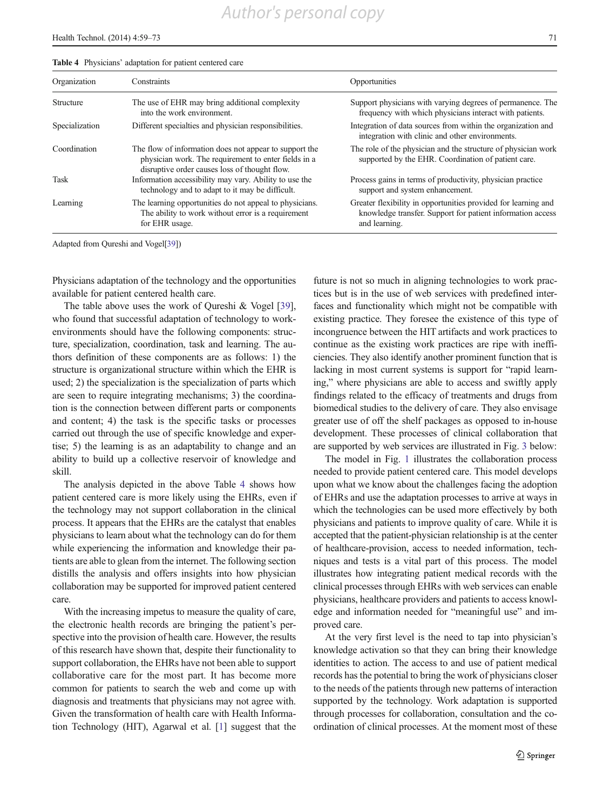## *Author's personal copy*

#### <span id="page-16-0"></span>Health Technol.  $(2014)$  4:59–73 71

| Organization   | Constraints                                                                                                                                                     | Opportunities                                                                                                                                 |
|----------------|-----------------------------------------------------------------------------------------------------------------------------------------------------------------|-----------------------------------------------------------------------------------------------------------------------------------------------|
| Structure      | The use of EHR may bring additional complexity<br>into the work environment.                                                                                    | Support physicians with varying degrees of permanence. The<br>frequency with which physicians interact with patients.                         |
| Specialization | Different specialties and physician responsibilities.                                                                                                           | Integration of data sources from within the organization and<br>integration with clinic and other environments.                               |
| Coordination   | The flow of information does not appear to support the<br>physician work. The requirement to enter fields in a<br>disruptive order causes loss of thought flow. | The role of the physician and the structure of physician work<br>supported by the EHR. Coordination of patient care.                          |
| Task           | Information accessibility may vary. Ability to use the<br>technology and to adapt to it may be difficult.                                                       | Process gains in terms of productivity, physician practice<br>support and system enhancement.                                                 |
| Learning       | The learning opportunities do not appeal to physicians.<br>The ability to work without error is a requirement<br>for EHR usage.                                 | Greater flexibility in opportunities provided for learning and<br>knowledge transfer. Support for patient information access<br>and learning. |

#### Table 4 Physicians' adaptation for patient centered care

Adapted from Qureshi and Vogel[\[39](#page-18-0)])

Physicians adaptation of the technology and the opportunities available for patient centered health care.

The table above uses the work of Qureshi & Vogel [[39\]](#page-18-0), who found that successful adaptation of technology to workenvironments should have the following components: structure, specialization, coordination, task and learning. The authors definition of these components are as follows: 1) the structure is organizational structure within which the EHR is used; 2) the specialization is the specialization of parts which are seen to require integrating mechanisms; 3) the coordination is the connection between different parts or components and content; 4) the task is the specific tasks or processes carried out through the use of specific knowledge and expertise; 5) the learning is as an adaptability to change and an ability to build up a collective reservoir of knowledge and skill.

The analysis depicted in the above Table 4 shows how patient centered care is more likely using the EHRs, even if the technology may not support collaboration in the clinical process. It appears that the EHRs are the catalyst that enables physicians to learn about what the technology can do for them while experiencing the information and knowledge their patients are able to glean from the internet. The following section distills the analysis and offers insights into how physician collaboration may be supported for improved patient centered care.

With the increasing impetus to measure the quality of care, the electronic health records are bringing the patient's perspective into the provision of health care. However, the results of this research have shown that, despite their functionality to support collaboration, the EHRs have not been able to support collaborative care for the most part. It has become more common for patients to search the web and come up with diagnosis and treatments that physicians may not agree with. Given the transformation of health care with Health Information Technology (HIT), Agarwal et al. [[1](#page-18-0)] suggest that the

future is not so much in aligning technologies to work practices but is in the use of web services with predefined interfaces and functionality which might not be compatible with existing practice. They foresee the existence of this type of incongruence between the HIT artifacts and work practices to continue as the existing work practices are ripe with inefficiencies. They also identify another prominent function that is lacking in most current systems is support for "rapid learning," where physicians are able to access and swiftly apply findings related to the efficacy of treatments and drugs from biomedical studies to the delivery of care. They also envisage greater use of off the shelf packages as opposed to in-house development. These processes of clinical collaboration that are supported by web services are illustrated in Fig. [3](#page-17-0) below:

The model in Fig. [1](#page-10-0) illustrates the collaboration process needed to provide patient centered care. This model develops upon what we know about the challenges facing the adoption of EHRs and use the adaptation processes to arrive at ways in which the technologies can be used more effectively by both physicians and patients to improve quality of care. While it is accepted that the patient-physician relationship is at the center of healthcare-provision, access to needed information, techniques and tests is a vital part of this process. The model illustrates how integrating patient medical records with the clinical processes through EHRs with web services can enable physicians, healthcare providers and patients to access knowledge and information needed for "meaningful use" and improved care.

At the very first level is the need to tap into physician's knowledge activation so that they can bring their knowledge identities to action. The access to and use of patient medical records has the potential to bring the work of physicians closer to the needs of the patients through new patterns of interaction supported by the technology. Work adaptation is supported through processes for collaboration, consultation and the coordination of clinical processes. At the moment most of these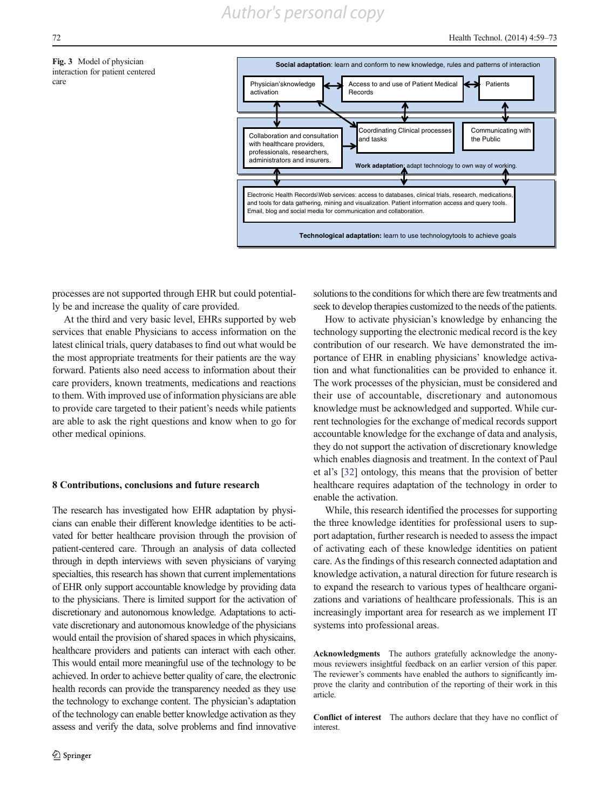<span id="page-17-0"></span>



processes are not supported through EHR but could potentially be and increase the quality of care provided.

At the third and very basic level, EHRs supported by web services that enable Physicians to access information on the latest clinical trials, query databases to find out what would be the most appropriate treatments for their patients are the way forward. Patients also need access to information about their care providers, known treatments, medications and reactions to them. With improved use of information physicians are able to provide care targeted to their patient's needs while patients are able to ask the right questions and know when to go for other medical opinions.

#### 8 Contributions, conclusions and future research

The research has investigated how EHR adaptation by physicians can enable their different knowledge identities to be activated for better healthcare provision through the provision of patient-centered care. Through an analysis of data collected through in depth interviews with seven physicians of varying specialties, this research has shown that current implementations of EHR only support accountable knowledge by providing data to the physicians. There is limited support for the activation of discretionary and autonomous knowledge. Adaptations to activate discretionary and autonomous knowledge of the physicians would entail the provision of shared spaces in which physicains, healthcare providers and patients can interact with each other. This would entail more meaningful use of the technology to be achieved. In order to achieve better quality of care, the electronic health records can provide the transparency needed as they use the technology to exchange content. The physician's adaptation of the technology can enable better knowledge activation as they assess and verify the data, solve problems and find innovative

solutions to the conditions for which there are few treatments and seek to develop therapies customized to the needs of the patients.

How to activate physician's knowledge by enhancing the technology supporting the electronic medical record is the key contribution of our research. We have demonstrated the importance of EHR in enabling physicians' knowledge activation and what functionalities can be provided to enhance it. The work processes of the physician, must be considered and their use of accountable, discretionary and autonomous knowledge must be acknowledged and supported. While current technologies for the exchange of medical records support accountable knowledge for the exchange of data and analysis, they do not support the activation of discretionary knowledge which enables diagnosis and treatment. In the context of Paul et al's [\[32](#page-18-0)] ontology, this means that the provision of better healthcare requires adaptation of the technology in order to enable the activation.

While, this research identified the processes for supporting the three knowledge identities for professional users to support adaptation, further research is needed to assess the impact of activating each of these knowledge identities on patient care. As the findings of this research connected adaptation and knowledge activation, a natural direction for future research is to expand the research to various types of healthcare organizations and variations of healthcare professionals. This is an increasingly important area for research as we implement IT systems into professional areas.

Acknowledgments The authors gratefully acknowledge the anonymous reviewers insightful feedback on an earlier version of this paper. The reviewer's comments have enabled the authors to significantly improve the clarity and contribution of the reporting of their work in this article.

Conflict of interest The authors declare that they have no conflict of interest.